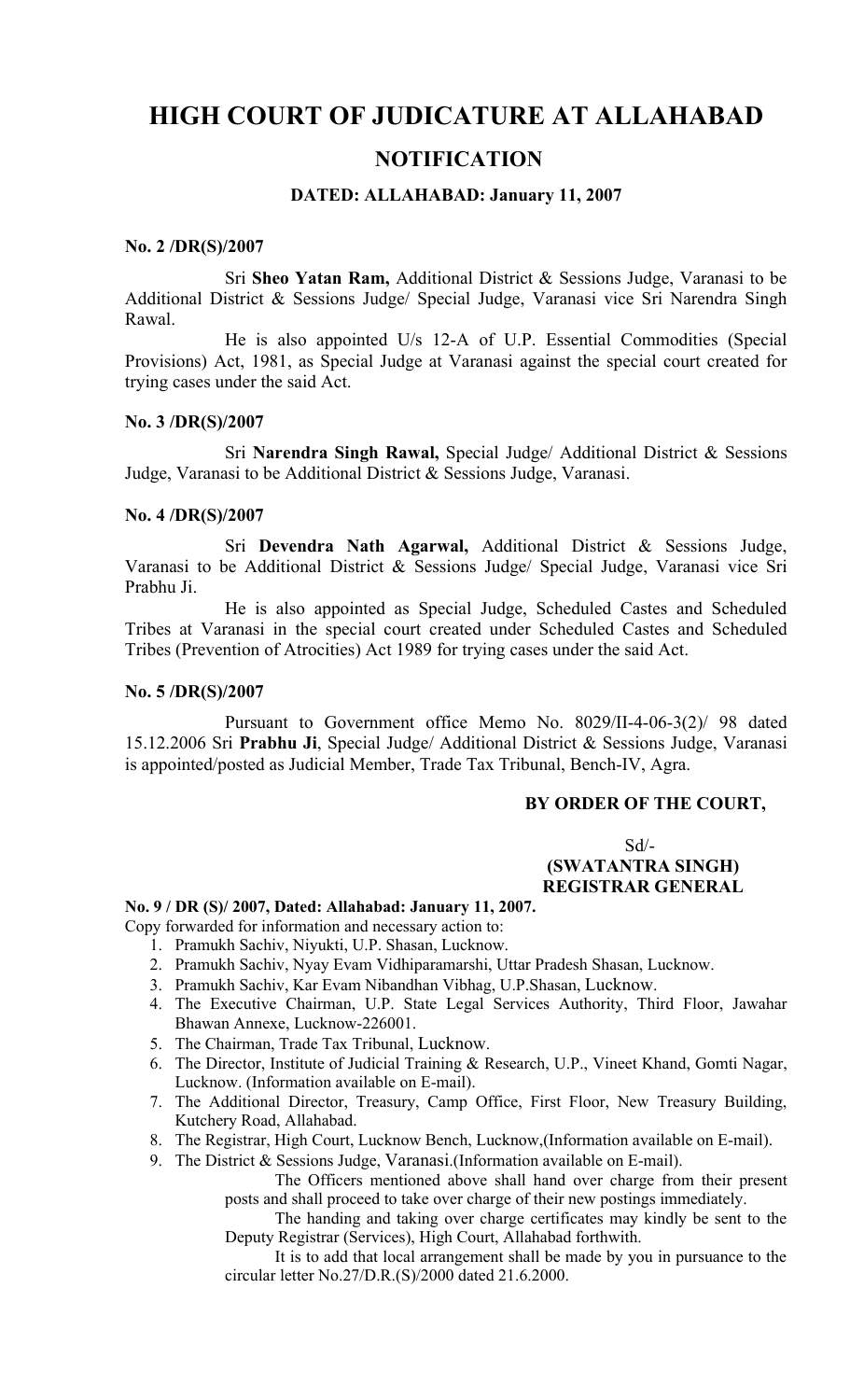# **HIGH COURT OF JUDICATURE AT ALLAHABAD**

# **NOTIFICATION**

## **DATED: ALLAHABAD: January 11, 2007**

#### **No. 2 /DR(S)/2007**

Sri **Sheo Yatan Ram,** Additional District & Sessions Judge, Varanasi to be Additional District & Sessions Judge/ Special Judge, Varanasi vice Sri Narendra Singh Rawal.

He is also appointed U/s 12-A of U.P. Essential Commodities (Special Provisions) Act, 1981, as Special Judge at Varanasi against the special court created for trying cases under the said Act.

#### **No. 3 /DR(S)/2007**

Sri **Narendra Singh Rawal,** Special Judge/ Additional District & Sessions Judge, Varanasi to be Additional District & Sessions Judge, Varanasi.

#### **No. 4 /DR(S)/2007**

Sri **Devendra Nath Agarwal,** Additional District & Sessions Judge, Varanasi to be Additional District & Sessions Judge/ Special Judge, Varanasi vice Sri Prabhu Ji.

He is also appointed as Special Judge, Scheduled Castes and Scheduled Tribes at Varanasi in the special court created under Scheduled Castes and Scheduled Tribes (Prevention of Atrocities) Act 1989 for trying cases under the said Act.

#### **No. 5 /DR(S)/2007**

Pursuant to Government office Memo No. 8029/II-4-06-3(2)/ 98 dated 15.12.2006 Sri **Prabhu Ji**, Special Judge/ Additional District & Sessions Judge, Varanasi is appointed/posted as Judicial Member, Trade Tax Tribunal, Bench-IV, Agra.

## **BY ORDER OF THE COURT,**

 $Sd$ <sup>-</sup>  **(SWATANTRA SINGH) REGISTRAR GENERAL**

#### **No. 9 / DR (S)/ 2007, Dated: Allahabad: January 11, 2007.**

Copy forwarded for information and necessary action to:

- 1. Pramukh Sachiv, Niyukti, U.P. Shasan, Lucknow.
- 2. Pramukh Sachiv, Nyay Evam Vidhiparamarshi, Uttar Pradesh Shasan, Lucknow.
- 3. Pramukh Sachiv, Kar Evam Nibandhan Vibhag, U.P.Shasan, Lucknow.
- 4. The Executive Chairman, U.P. State Legal Services Authority, Third Floor, Jawahar Bhawan Annexe, Lucknow-226001.
- 5. The Chairman, Trade Tax Tribunal, Lucknow.
- 6. The Director, Institute of Judicial Training & Research, U.P., Vineet Khand, Gomti Nagar, Lucknow. (Information available on E-mail).
- 7. The Additional Director, Treasury, Camp Office, First Floor, New Treasury Building, Kutchery Road, Allahabad.
- 8. The Registrar, High Court, Lucknow Bench, Lucknow,(Information available on E-mail).

9. The District & Sessions Judge, Varanasi.(Information available on E-mail).

The Officers mentioned above shall hand over charge from their present posts and shall proceed to take over charge of their new postings immediately.

The handing and taking over charge certificates may kindly be sent to the Deputy Registrar (Services), High Court, Allahabad forthwith.

It is to add that local arrangement shall be made by you in pursuance to the circular letter No.27/D.R.(S)/2000 dated 21.6.2000.